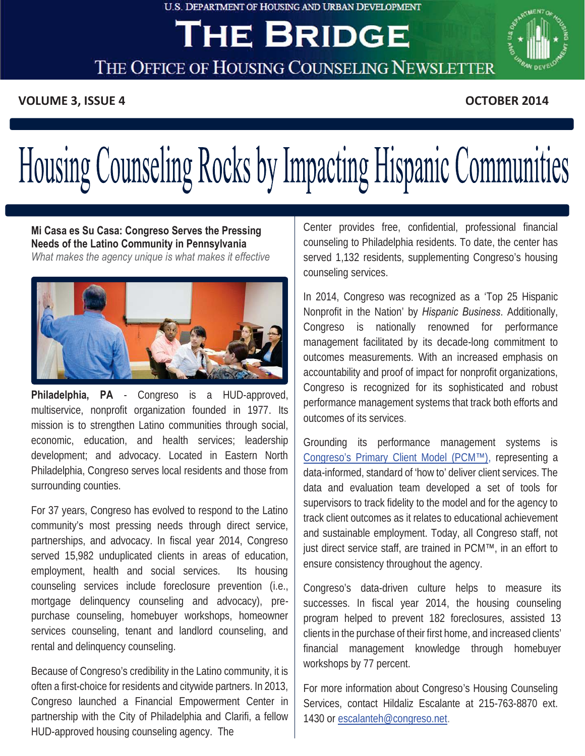#### **U.S. DEPARTMENT OF HOUSING AND URBAN DEVELOPMENT**

## **THE BRIDGE**



THE OFFICE OF HOUSING COUNSELING NEWSLETTER

 **The Office of Housing Counseling Newsletter Act 2014** OCTOBER 2014

**OCTOBER 2014** 

# Housing Counseling Rocks by Impacting Hispanic Communities

**Mi Casa es Su Casa: Congreso Serves the Pressing Needs of the Latino Community in Pennsylvania**  *What makes the agency unique is what makes it effective* 



**Philadelphia, PA** - Congreso is a HUD-approved, multiservice, nonprofit organization founded in 1977. Its mission is to strengthen Latino communities through social, economic, education, and health services; leadership development; and advocacy. Located in Eastern North Philadelphia, Congreso serves local residents and those from surrounding counties.

rental and delinguency counseling. For 37 years, Congreso has evolved to respond to the Latino community's most pressing needs through direct service, partnerships, and advocacy. In fiscal year 2014, Congreso served 15,982 unduplicated clients in areas of education, employment, health and social services. Its housing counseling services include foreclosure prevention (i.e., mortgage delinquency counseling and advocacy), prepurchase counseling, homebuyer workshops, homeowner services counseling, tenant and landlord counseling, and

Because of Congreso's credibility in the Latino community, it is often a first-choice for residents and citywide partners. In 2013, Congreso launched a Financial Empowerment Center in partnership with the City of Philadelphia and Clarifi, a fellow HUD-approved housing counseling agency. The

counseling services. Center provides free, confidential, professional financial counseling to Philadelphia residents. To date, the center has served 1,132 residents, supplementing Congreso's housing

 management facilitated by its decade-long commitment to performance management systems that track both efforts and In 2014, Congreso was recognized as a 'Top 25 Hispanic Nonprofit in the Nation' by *Hispanic Business*. Additionally, Congreso is nationally renowned for performance outcomes measurements. With an increased emphasis on accountability and proof of impact for nonprofit organizations, Congreso is recognized for its sophisticated and robust outcomes of its services.

Grounding its performance management systems is [Congreso's Primary Client Model \(PCM™\),](http://www.congreso.net/site/index.php?option=com_content&view=article&id=69&Itemid=48) representing a data-informed, standard of 'how to' deliver client services. The data and evaluation team developed a set of tools for supervisors to track fidelity to the model and for the agency to track client outcomes as it relates to educational achievement and sustainable employment. Today, all Congreso staff, not just direct service staff, are trained in PCM™, in an effort to ensure consistency throughout the agency.

workshops by 77 percent. Congreso's data-driven culture helps to measure its successes. In fiscal year 2014, the housing counseling program helped to prevent 182 foreclosures, assisted 13 clients in the purchase of their first home, and increased clients' financial management knowledge through homebuyer

For more information about Congreso's Housing Counseling Services, contact Hildaliz Escalante at 215-763-8870 ext. 1430 or escalanteh@congreso.net.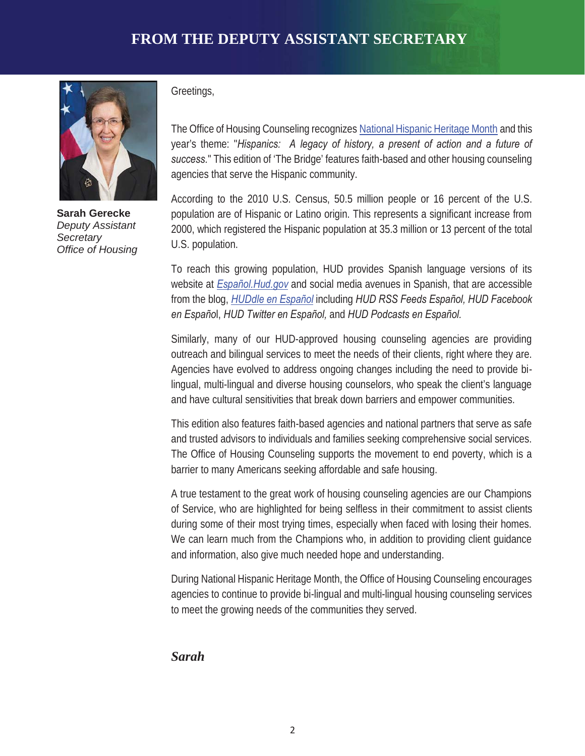

**Sarah Gerecke**  *Deputy Assistant Secretary Office of Housing* 

Greetings,

The Office of Housing Counseling recognizes [National Hispanic Heritage Month a](http://www.whitehouse.gov/the-press-office/2014/09/12/presidential-proclamation-national-hispanic-heritage-month-2014)nd this year's theme: "*Hispanics: A legacy of history, a present of action and a future of success.*" This edition of 'The Bridge' features faith-based and other housing counseling agencies that serve the Hispanic community.

According to the 2010 U.S. Census, 50.5 million people or 16 percent of the U.S. population are of Hispanic or Latino origin. This represents a significant increase from 2000, which registered the Hispanic population at 35.3 million or 13 percent of the total U.S. population.

To reach this growing population, HUD provides Spanish language versions of its website at *[Español.Hud.gov](http://www.portal.hud.gov/hudportal/HUD?src=/espanol)* and social media avenues in Spanish, that are accessible from the blog, *[HUDdle en Español](http://www.blog.hud.gov/es/)* including *HUD RSS Feeds Español, HUD Facebook en Españo*l, *HUD Twitter en Español,* and *HUD Podcasts en Español.* 

Agencies have evolved to address ongoing changes including the need to provide bi-<br>lingual, multi-lingual and diverse housing counselors, who speak the client's language outreach and bilingual services to meet the needs of their clients, right where they are. and have cultural sensitivities that break down barriers and empower communities. Similarly, many of our HUD-approved housing counseling agencies are providing Agencies have evolved to address ongoing changes including the need to provide bi-

This edition also features faith-based agencies and national partners that serve as safe and trusted advisors to individuals and families seeking comprehensive social services. The Office of Housing Counseling supports the movement to end poverty, which is a barrier to many Americans seeking affordable and safe housing.

A true testament to the great work of housing counseling agencies are our Champions of Service, who are highlighted for being selfless in their commitment to assist clients during some of their most trying times, especially when faced with losing their homes. We can learn much from the Champions who, in addition to providing client guidance and information, also give much needed hope and understanding.

During National Hispanic Heritage Month, the Office of Housing Counseling encourages agencies to continue to provide bi-lingual and multi-lingual housing counseling services to meet the growing needs of the communities they served.

## *Sarah*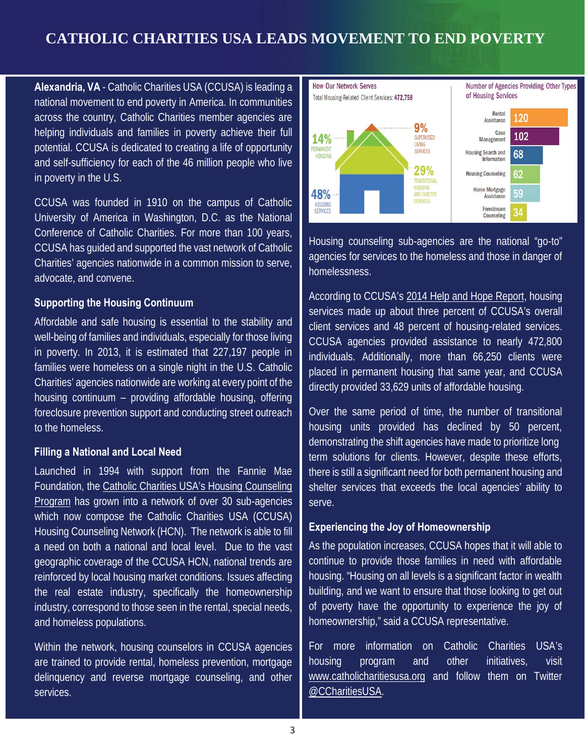## **CATHOLIC CHARITIES USA LEADS MOVEMENT TO END POVERTY**

 **Alexandria, VA** - Catholic Charities USA (CCUSA) is leading a in poverty in the U.S. national movement to end poverty in America. In communities across the country, Catholic Charities member agencies are helping individuals and families in poverty achieve their full potential. CCUSA is dedicated to creating a life of opportunity and self-sufficiency for each of the 46 million people who live

CCUSA was founded in 1910 on the campus of Catholic University of America in Washington, D.C. as the National Conference of Catholic Charities. For more than 100 years, CCUSA has guided and supported the vast network of Catholic Charities' agencies nationwide in a common mission to serve, advocate, and convene.

#### **Supporting the Housing Continuum**

rammes were nomeress on a single night in the O.S. Catholic<br>Charities' agencies nationwide are working at every point of the Affordable and safe housing is essential to the stability and well-being of families and individuals, especially for those living in poverty. In 2013, it is estimated that 227,197 people in families were homeless on a single night in the U.S. Catholic housing continuum – providing affordable housing, offering foreclosure prevention support and conducting street outreach to the homeless.

#### **Filling a National and Local Need**

Launched in 1994 with support from the Fannie Mae Foundation, the [Catholic Charities USA's Housing Counseling](http://www.catholiccharitiesusa.org/program/housing-counseling/)  [Program](http://www.catholiccharitiesusa.org/program/housing-counseling/) has grown into a network of over 30 sub-agencies a need on both a national and local level. Due to the vast and homeless populations. which now compose the Catholic Charities USA (CCUSA) Housing Counseling Network (HCN). The network is able to fill geographic coverage of the CCUSA HCN, national trends are reinforced by local housing market conditions. Issues affecting the real estate industry, specifically the homeownership industry, correspond to those seen in the rental, special needs,

Within the network, housing counselors in CCUSA agencies are trained to provide rental, homeless prevention, mortgage delinquency and reverse mortgage counseling, and other services.



Housing counseling sub-agencies are the national "go-to" agencies for services to the homeless and those in danger of homelessness.

**CONSIDER SERVICES** placed in permanent housing that same year, and CCUSA<br>oint of the directly aroughed 22.629 units of effectable housing According to CCUSA's [2014 Help and Hope Report,](http://www.scribd.com/collections/5693820/2014-Help-and-Hope-Report-and-2013-Annual-Survey-Data) housing directly provided 33,629 units of affordable housing. services made up about three percent of CCUSA's overall client services and 48 percent of housing-related services. CCUSA agencies provided assistance to nearly 472,800 individuals. Additionally, more than 66,250 clients were

directly provided 33,629 units of affordable housing.<br>Over the same period of time, the number of transitiona<br>housing units provided has declined by 50 percent<br>demonstrating the shift agencies have made to prioritize long Over the same period of time, the number of transitional housing units provided has declined by 50 percent, demonstrating the shift agencies have made to prioritize long<br>term solutions for clients. However, despite these efforts, there is still a significant need for both permanent housing and shelter services that exceeds the local agencies' ability to serve.

#### **Experiencing the Joy of Homeownership**

As the population increases, CCUSA hopes that it will able to continue to provide those families in need with affordable housing. "Housing on all levels is a significant factor in wealth building, and we want to ensure that those looking to get out of poverty have the opportunity to experience the joy of homeownership," said a CCUSA representative.

For more information on Catholic Charities USA's housing program and other initiatives, visit [www.catholicharitiesusa.org](http://www.catholicharitiesusa.org/) and follow them on Twitter [@CCharitiesUSA.](https://www.twitter.com/ccharitiesusa)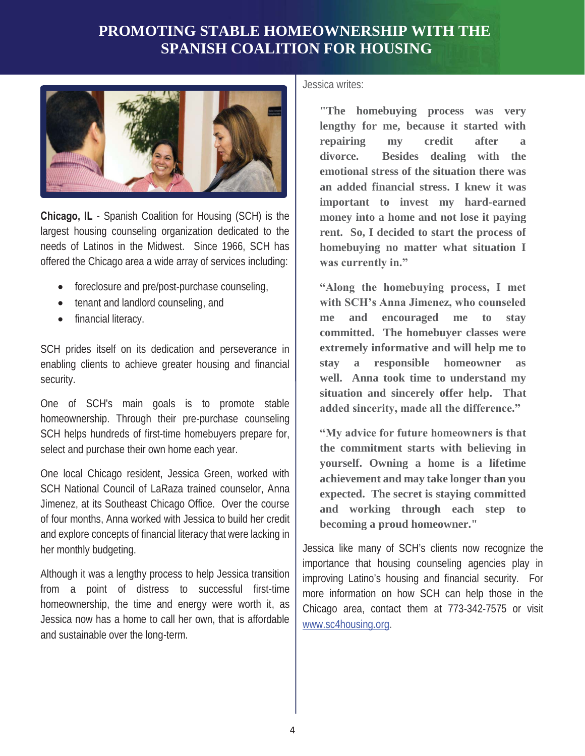## **PROMOTING STABLE HOMEOWNERSHIP WITH THE SPANISH COALITION FOR HOUSING**



 needs of Latinos in the Midwest. Since 1966, SCH has **Chicago, IL** - Spanish Coalition for Housing (SCH) is the largest housing counseling organization dedicated to the offered the Chicago area a wide array of services including:

- foreclosure and pre/post-purchase counseling,
- tenant and landlord counseling, and
- financial literacy.

SCH prides itself on its dedication and perseverance in enabling clients to achieve greater housing and financial security.

 One of SCH's main goals is to promote stable homeownership. Through their pre-purchase counseling SCH helps hundreds of first-time homebuyers prepare for, select and purchase their own home each year.

 One local Chicago resident, Jessica Green, worked with of four months, Anna worked with Jessica to build her credit her monthly budgeting. SCH National Council of LaRaza trained counselor, Anna Jimenez, at its Southeast Chicago Office. Over the course and explore concepts of financial literacy that were lacking in

Although it was a lengthy process to help Jessica transition from a point of distress to successful first-time homeownership, the time and energy were worth it, as Jessica now has a home to call her own, that is affordable and sustainable over the long-term.

Jessica writes:

 **an added financial stress. I knew it was "The homebuying process was very lengthy for me, because it started with repairing my credit after a divorce. Besides dealing with the emotional stress of the situation there was important to invest my hard-earned money into a home and not lose it paying rent. So, I decided to start the process of homebuying no matter what situation I was currently in."** 

**CHAMPIONS OF SERVICE SERVICE SERVICE SERVICE SERVICE SERVICE SERVICE SERVICE SERVICE SERVICE SERVICE SERVICE SERVICE SERVICE SERVICE SERVICE SERVICE SERVICE SERVICE SERVICE SERVICE SERVICE SERVICE SERVICE SERVICE SERVICE "Along the homebuying process, I met with SCH's Anna Jimenez, who counseled me and encouraged me to stay committed. The homebuyer classes were extremely informative and will help me to**  stay a responsible homeowner **situation and sincerely offer help. That added sincerity, made all the difference."** 

> **expected. The secret is staying committed "My advice for future homeowners is that the commitment starts with believing in yourself. Owning a home is a lifetime achievement and may take longer than you and working through each step to becoming a proud homeowner."**

Jessica like many of SCH's clients now recognize the importance that housing counseling agencies play in improving Latino's housing and financial security. For more information on how SCH can help those in the Chicago area, contact them at 773-342-7575 or visit www.sc4housing.org.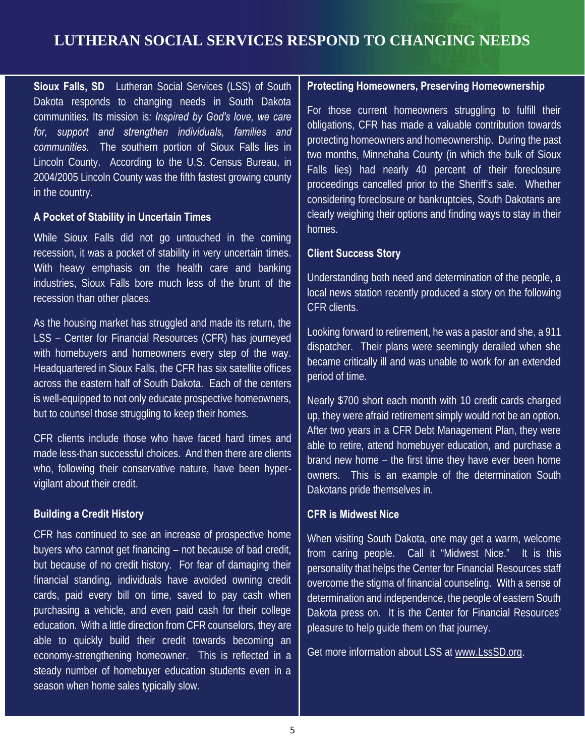## **LUTHERAN SOCIAL SERVICES RESPOND TO CHANGING NEEDS**

 **Sioux Falls, SD**  Lutheran Social Services (LSS) of South Dakota responds to changing needs in South Dakota communities. Its mission is*: Inspired by God's love, we care for, support and strengthen individuals, families and communities.* The southern portion of Sioux Falls lies in Lincoln County. According to the U.S. Census Bureau, in 2004/2005 Lincoln County was the fifth fastest growing county in the country.

### **A Pocket of Stability in Uncertain Times**

recession, it was a pocket of stability in very uncertain times. While Sioux Falls did not go untouched in the coming With heavy emphasis on the health care and banking. industries, Sioux Falls bore much less of the brunt of the recession than other places.

**CHAMPI** across the eastern half of South Dakota. Each of the centers with homebuyers and homeowners every step of the way. As the housing market has struggled and made its return, the LSS – Center for Financial Resources (CFR) has journeyed Headquartered in Sioux Falls, the CFR has six satellite offices is well-equipped to not only educate prospective homeowners, but to counsel those struggling to keep their homes.

 made less-than successful choices. And then there are clients CFR clients include those who have faced hard times and who, following their conservative nature, have been hypervigilant about their credit.

## **Building a Credit History**

 purchasing a vehicle, and even paid cash for their college CFR has continued to see an increase of prospective home buyers who cannot get financing – not because of bad credit, but because of no credit history. For fear of damaging their financial standing, individuals have avoided owning credit cards, paid every bill on time, saved to pay cash when education. With a little direction from CFR counselors, they are able to quickly build their credit towards becoming an economy-strengthening homeowner. This is reflected in a steady number of homebuyer education students even in a season when home sales typically slow.

#### **Protecting Homeowners, Preserving Homeownership**

 two months, Minnehaha County (in which the bulk of Sioux For those current homeowners struggling to fulfill their obligations, CFR has made a valuable contribution towards protecting homeowners and homeownership. During the past Falls lies) had nearly 40 percent of their foreclosure proceedings cancelled prior to the Sheriff's sale. Whether considering foreclosure or bankruptcies, South Dakotans are clearly weighing their options and finding ways to stay in their homes.

#### **Client Success Story**

 local news station recently produced a story on the following Understanding both need and determination of the people, a CFR clients.

**ONS OF SERVICE** period of time. Looking forward to retirement, he was a pastor and she, a 911 dispatcher. Their plans were seemingly derailed when she became critically ill and was unable to work for an extended

> up, they were afraid retirement simply would not be an option. brand new home – the first time they have ever been home Nearly \$700 short each month with 10 credit cards charged After two years in a CFR Debt Management Plan, they were able to retire, attend homebuyer education, and purchase a owners. This is an example of the determination South Dakotans pride themselves in.

#### **CFR is Midwest Nice**

When visiting South Dakota, one may get a warm, welcome from caring people. Call it "Midwest Nice." It is this personality that helps the Center for Financial Resources staff overcome the stigma of financial counseling. With a sense of determination and independence, the people of eastern South Dakota press on. It is the Center for Financial Resources' pleasure to help guide them on that journey.

Get more information about LSS at [www.LssSD.org.](http://www.lsssd.org/)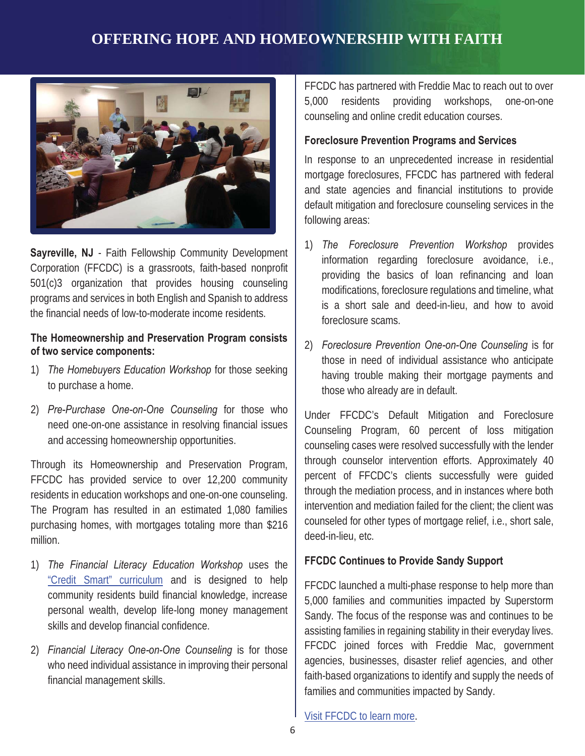## **OFFERING HOPE AND HOMEOWNERSHIP WITH FAITH**



 programs and services in both English and Spanish to address the financial needs of low-to-moderate income residents. **Sayreville, NJ** - Faith Fellowship Community Development Corporation (FFCDC) is a grassroots, faith-based nonprofit 501(c)3 organization that provides housing counseling

### **The Homeownership and Preservation Program consists of two service components:**

- 1)*The Homebuyers Education Workshop* for those seeking to purchase a home.
- and accessing homeownership opportunities. 2)*Pre-Purchase One-on-One Counseling* for those who need one-on-one assistance in resolving financial issues

million. Through its Homeownership and Preservation Program, FFCDC has provided service to over 12,200 community residents in education workshops and one-on-one counseling. The Program has resulted in an estimated 1,080 families purchasing homes, with mortgages totaling more than \$216

- skills and develop financial confidence. million.<br>1) *The Financial Literacy Education Workshop* uses the ["Credit Smart" curriculum](http://www.freddiemac.com/creditsmart/curriculum/download.html) and is designed to help community residents build financial knowledge, increase personal wealth, develop life-long money management
- 2)*Financial Literacy One-on-One Counseling* is for those who need individual assistance in improving their personal financial management skills.

FFCDC has partnered with Freddie Mac to reach out to over 5,000 residents providing workshops, one-on-one counseling and online credit education courses.

## **Foreclosure Prevention Programs and Services**

In response to an unprecedented increase in residential mortgage foreclosures, FFCDC has partnered with federal and state agencies and financial institutions to provide default mitigation and foreclosure counseling services in the following areas:

- 1)*The Foreclosure Prevention Workshop* provides information regarding foreclosure avoidance, i.e., providing the basics of loan refinancing and loan modifications, foreclosure regulations and timeline, what is a short sale and deed-in-lieu, and how to avoid foreclosure scams.
- Vorkshop for those seeking and their mortgage payments and 2)*Foreclosure Prevention One-on-One Counseling* is for those in need of individual assistance who anticipate those who already are in default.

Under FFCDC's Default Mitigation and Foreclosure Counseling Program, 60 percent of loss mitigation counseling cases were resolved successfully with the lender through counselor intervention efforts. Approximately 40 percent of FFCDC's clients successfully were guided through the mediation process, and in instances where both intervention and mediation failed for the client; the client was counseled for other types of mortgage relief, i.e., short sale, deed-in-lieu, etc.

## **FFCDC Continues to Provide Sandy Support**

FFCDC launched a multi-phase response to help more than 5,000 families and communities impacted by Superstorm Sandy. The focus of the response was and continues to be assisting families in regaining stability in their everyday lives. FFCDC joined forces with Freddie Mac, government agencies, businesses, disaster relief agencies, and other faith-based organizations to identify and supply the needs of families and communities impacted by Sandy.

[Visit FFCDC to learn more.](http://www.ffcdc.net/index.shtml)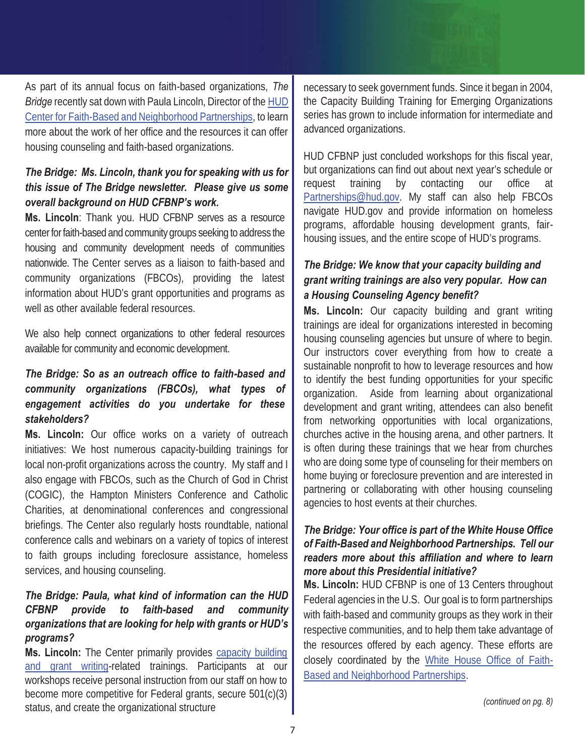As part of its annual focus on faith-based organizations, The necessary to seek government funds. Since it began in: *Bridge* recently sat down with Paula Lincoln, Director of the [HUD](http://www.portal.hud.gov/hudportal/HUD?src=/program_offices/faith_based)  [Center for Faith-Based and Neighborhood Partnerships,](http://www.portal.hud.gov/hudportal/HUD?src=/program_offices/faith_based) to learn more about the work of her office and the resources it can offer housing counseling and faith-based organizations.

## *this issue of The Bridge newsletter. Please give us some*   *overall background on HUD CFBNP's work. The Bridge: Ms. Lincoln, thank you for speaking with us for*

 **Ms. Lincoln**: Thank you. HUD CFBNP serves as a resource well as other available federal resources. center for faith-based and community groups seeking to address the housing and community development needs of communities nationwide. The Center serves as a liaison to faith-based and community organizations (FBCOs), providing the latest information about HUD's grant opportunities and programs as

well as other available federal resources.<br>We also help connect organizations to other federal resources available for community and economic development.

## *engagement activities do you undertake for these The Bridge: So as an outreach office to faith-based and community organizations (FBCOs), what types of stakeholders?*

**Ms. Lincoln:** Our office works on a variety of outreach initiatives: We host numerous capacity-building trainings for local non-profit organizations across the country. My staff and I also engage with FBCOs, such as the Church of God in Christ (COGIC), the Hampton Ministers Conference and Catholic Charities, at denominational conferences and congressional briefings. The Center also regularly hosts roundtable, national conference calls and webinars on a variety of topics of interest to faith groups including foreclosure assistance, homeless services, and housing counseling.

## *The Bridge: Paula, what kind of information can the HUD CFBNP provide to faith-based and community organizations that are looking for help with grants or HUD's programs?*

**Ms. Lincoln:** The Center primarily provides [capacity building](http://www.portal.hud.gov/hudportal/documents/huddoc?id=gwtcapacitybld.pdf)  [and grant writing-r](http://www.portal.hud.gov/hudportal/documents/huddoc?id=gwtcapacitybld.pdf)elated trainings. Participants at our workshops receive personal instruction from our staff on how to become more competitive for Federal grants, secure 501(c)(3) status, and create the organizational structure

**FOR FAITHERS AND INSTEAD AND THE CONFERENCE IN THE CAPACITY Building Training for Emerging Organizations**<br>The Capacity Based Mating the change of Darty and time to Lagre Society be grown to include information for interme necessary to seek government funds. Since it began in 2004, series has grown to include information for intermediate and advanced organizations.

200<br>ation<br>te ar<br>lyea<br>lyea<br>lyea<br>BCC<br>nele:<br>, fa HUD CFBNP just concluded workshops for this fiscal year, but organizations can find out about next year's schedule or request training by contacting our office at [Partnerships@hud.gov.](mailto:Partnerships@hud.gov) My staff can also help FBCOs navigate HUD.gov and provide information on homeless programs, affordable housing development grants, fairhousing issues, and the entire scope of HUD's programs.

## *grant writing trainings are also very popular. How can a Housing Counseling Agency benefit? The Bridge: We know that your capacity building and*

**CHAMPION** of **CHAMPIONS OF SERVICE SERVICES** and now to reverage resources and now organization. Aside from learning about organizational home buying or foreclosure prevention and are interested in **Ms. Lincoln:** Our capacity building and grant writing trainings are ideal for organizations interested in becoming housing counseling agencies but unsure of where to begin. Our instructors cover everything from how to create a sustainable nonprofit to how to leverage resources and how development and grant writing, attendees can also benefit from networking opportunities with local organizations, churches active in the housing arena, and other partners. It is often during these trainings that we hear from churches who are doing some type of counseling for their members on partnering or collaborating with other housing counseling agencies to host events at their churches.

## *of Faith-Based and Neighborhood Partnerships. Tell our more about this Presidential initiative? The Bridge: Your office is part of the White House Office readers more about this affiliation and where to learn*

**Ms. Lincoln:** HUD CFBNP is one of 13 Centers throughout Federal agencies in the U.S. Our goal is to form partnerships with faith-based and community groups as they work in their respective communities, and to help them take advantage of the resources offered by each agency. These efforts are closely coordinated by the [White House Office of Faith-](http://www.whitehouse.gov/administration/eop/ofbnp)[Based and Neighborhood Partnerships.](http://www.whitehouse.gov/administration/eop/ofbnp)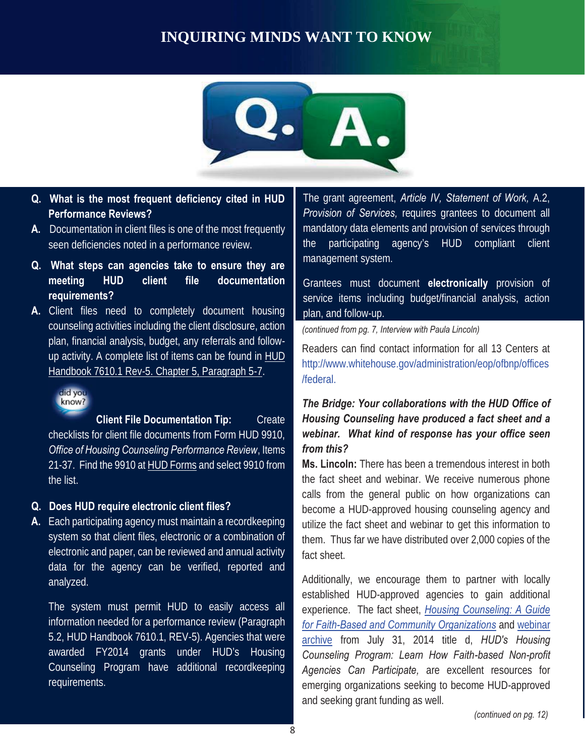## **INQUIRING MINDS WANT TO KNOW**



- **Q. What is the most frequent deficiency cited in HUD Performance Reviews?**
- **A.** Documentation in client files is one of the most frequently seen deficiencies noted in a performance review.
- **Q. What steps can agencies take to ensure they are meeting HUD client file documentation requirements?**
- **CHAMPIONS 7610.1 Rev-5. Chapter 5, Paragraph 5-7.** The *Review Millenbuse*.gov **A.** Client files need to completely document housing counseling activities including the client disclosure, action plan, financial analysis, budget, any referrals and followup activity. A complete list of items can be found in **HUD**



**Client File Documentation Tip:** Create checklists for client file documents from Form HUD 9910, *Office of Housing Counseling Performance Review*, Items 21-37. Find the 9910 a[t HUD Forms](http://portal.hud.gov/hudportal/HUD?src=/program_offices/administration/hudclips/forms/hud9a) and select 9910 from the list.

#### **Q. Does HUD require electronic client files?**

**A.** Each participating agency must maintain a recordkeeping system so that client files, electronic or a combination of electronic and paper, can be reviewed and annual activity data for the agency can be verified, reported and analyzed.

requirements. The system must permit HUD to easily access all information needed for a performance review (Paragraph 5.2, HUD Handbook 7610.1, REV-5). Agencies that were awarded FY2014 grants under HUD's Housing Counseling Program have additional recordkeeping What steps can agencies take to ensure they are<br>
meating HUD client file documentation<br>
Client files management system.<br>
Client files need to completely document housing service liters including<br>
Client files need to compl

The grant agreement, *Article IV, Statement of Work,* A.2, *Provision of Services,* requires grantees to document all mandatory data elements and provision of services through the participating agency's HUD compliant client management system.<br>Grantees must document **electronically** provision of

service items including budget/financial analysis, action plan, and follow-up.

*(continued from pg. 7, Interview with Paula Lincoln)* 

Readers can find contact information for all 13 Centers at [http://www.whitehouse.gov/administration/eop/ofbnp/offices](http://www.whitehouse.gov/administration/eop/ofbnp/offices/federal)  /federal.

## *The Bridge: Your collaborations with the HUD Office of Housing Counseling have produced a fact sheet and a webinar. What kind of response has your office seen from this?*

**Ms. Lincoln:** There has been a tremendous interest in both the fact sheet and webinar. We receive numerous phone calls from the general public on how organizations can become a HUD-approved housing counseling agency and utilize the fact sheet and webinar to get this information to them. Thus far we have distributed over 2,000 copies of the fact sheet.

and seeking grant funding as well. Additionally, we encourage them to partner with locally established HUD-approved agencies to gain additional experience. The fact sheet, *[Housing Counseling: A Guide](http://portal.hud.gov/hudportal/documents/huddoc?id=cfbnp-hsgcnsfktsha.pdf)  [for Faith-Based and Community Organizations](http://portal.hud.gov/hudportal/documents/huddoc?id=cfbnp-hsgcnsfktsha.pdf)* an[d webinar](http://www.portal.hud.gov/hudportal/HUD?src=/program_offices/housing/sfh/hcc/OHC_TRAINARC)  [archive](http://www.portal.hud.gov/hudportal/HUD?src=/program_offices/housing/sfh/hcc/OHC_TRAINARC) from July 31, 2014 title d, *HUD's Housing Counseling Program: Learn How Faith-based Non-profit Agencies Can Participate,* are excellent resources for emerging organizations seeking to become HUD-approved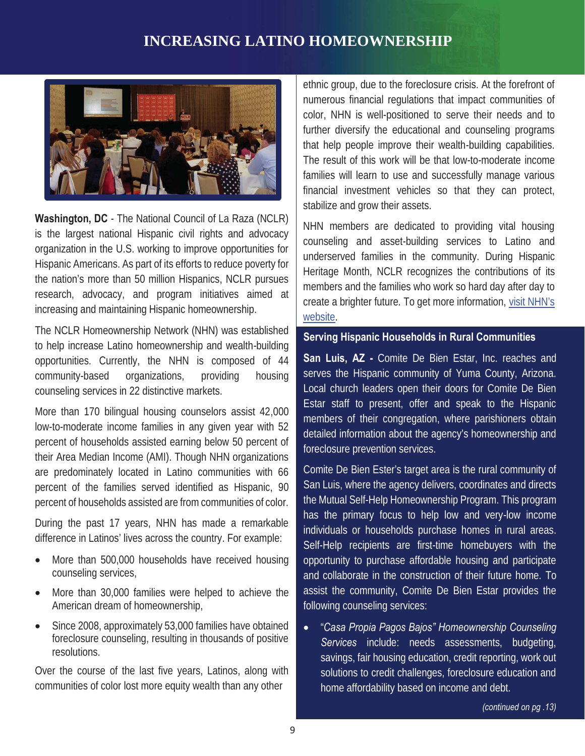## **INCREASING LATINO HOMEOWNERSHIP**



**Washington, DC** - The National Council of La Raza (NCLR) is the largest national Hispanic civil rights and advocacy organization in the U.S. working to improve opportunities for Hispanic Americans. As part of its efforts to reduce poverty for the nation's more than 50 million Hispanics, NCLR pursues research, advocacy, and program initiatives aimed at increasing and maintaining Hispanic homeownership.

counseling services in 22 distinctive markets. The NCLR Homeownership Network (NHN) was established to help increase Latino homeownership and wealth-building opportunities. Currently, the NHN is composed of 44 community-based organizations, providing housing

 percent of households assisted are from communities of color. counseling services in 22 distinctive markets. More than 170 bilingual housing counselors assist 42,000 low-to-moderate income families in any given year with 52 percent of households assisted earning below 50 percent of their Area Median Income (AMI). Though NHN organizations are predominately located in Latino communities with 66 percent of the families served identified as Hispanic, 90

 difference in Latinos' lives across the country. For example: During the past 17 years, NHN has made a remarkable

- More than 500,000 households have received housing counseling services,
- More than 30,000 families were helped to achieve the American dream of homeownership,
- Since 2008, approximately 53,000 families have obtained foreclosure counseling, resulting in thousands of positive resolutions.

Over the course of the last five years, Latinos, along with communities of color lost more equity wealth than any other

ethnic group, due to the foreclosure crisis. At the forefront of numerous financial regulations that impact communities of color, NHN is well-positioned to serve their needs and to further diversify the educational and counseling programs that help people improve their wealth-building capabilities. The result of this work will be that low-to-moderate income families will learn to use and successfully manage various financial investment vehicles so that they can protect, stabilize and grow their assets.

NHN members are dedicated to providing vital housing counseling and asset-building services to Latino and underserved families in the community. During Hispanic Heritage Month, NCLR recognizes the contributions of its members and the families who work so hard day after day to create a brighter future. To get more information, [visit NHN's](http://www.nclr.org/index.php/issues_and_programs/community_and_family_wealth/community_development_programs/nclr_homeownership_network/)  [website.](http://www.nclr.org/index.php/issues_and_programs/community_and_family_wealth/community_development_programs/nclr_homeownership_network/) 

#### **Serving Hispanic Households in Rural Communities**

ns, providing housing serves the Hispanic community of Yuma County, Arizona. foreclosure prevention services. **San Luis, AZ -** Comite De Bien Estar, Inc. reaches and Local church leaders open their doors for Comite De Bien Estar staff to present, offer and speak to the Hispanic members of their congregation, where parishioners obtain detailed information about the agency's homeownership and

> Comite De Bien Ester's target area is the rural community of San Luis, where the agency delivers, coordinates and directs the Mutual Self-Help Homeownership Program. This program has the primary focus to help low and very-low income individuals or households purchase homes in rural areas. Self-Help recipients are first-time homebuyers with the opportunity to purchase affordable housing and participate and collaborate in the construction of their future home. To assist the community, Comite De Bien Estar provides the following counseling services:

x "*Casa Propia Pagos Bajos" Homeownership Counseling Services* include: needs assessments, budgeting, savings, fair housing education, credit reporting, work out solutions to credit challenges, foreclosure education and home affordability based on income and debt.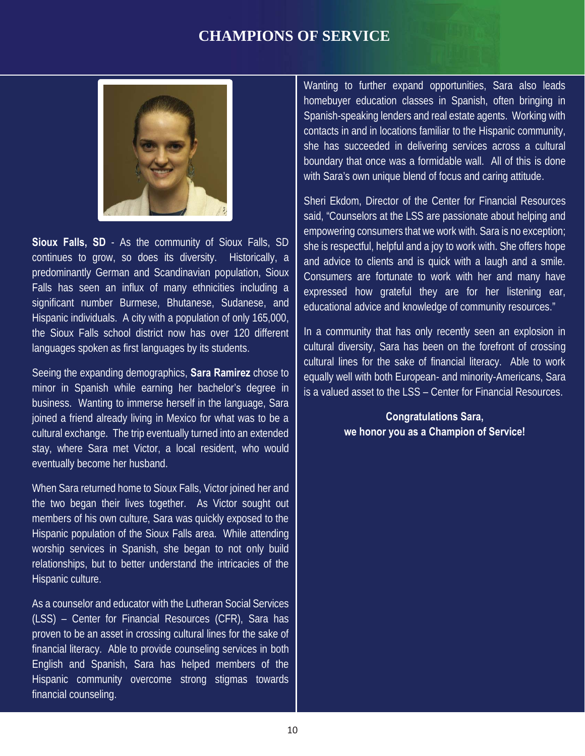

 Hispanic individuals. A city with a population of only 165,000, languages spoken as first languages by its students. **Sioux Falls, SD** - As the community of Sioux Falls, SD continues to grow, so does its diversity. Historically, a predominantly German and Scandinavian population, Sioux Falls has seen an influx of many ethnicities including a significant number Burmese, Bhutanese, Sudanese, and the Sioux Falls school district now has over 120 different

Seeing the expanding demographics, **Sara Ramirez** chose to minor in Spanish while earning her bachelor's degree in cultural exchange. The trip eventually turned into an extended eventually become her husband. business. Wanting to immerse herself in the language, Sara joined a friend already living in Mexico for what was to be a stay, where Sara met Victor, a local resident, who would

When Sara returned home to Sioux Falls, Victor joined her and the two began their lives together. As Victor sought out members of his own culture, Sara was quickly exposed to the Hispanic population of the Sioux Falls area. While attending worship services in Spanish, she began to not only build relationships, but to better understand the intricacies of the Hispanic culture.

proven to be an asset in crossing cultural lines for the sake of **interval and the sake of**  $\sim$ As a counselor and educator with the Lutheran Social Services (LSS) – Center for Financial Resources (CFR), Sara has financial literacy. Able to provide counseling services in both English and Spanish, Sara has helped members of the Hispanic community overcome strong stigmas towards financial counseling.

 she has succeeded in delivering services across a cultural Wanting to further expand opportunities, Sara also leads homebuyer education classes in Spanish, often bringing in Spanish-speaking lenders and real estate agents. Working with contacts in and in locations familiar to the Hispanic community, boundary that once was a formidable wall. All of this is done with Sara's own unique blend of focus and caring attitude.

Sheri Ekdom, Director of the Center for Financial Resources said, "Counselors at the LSS are passionate about helping and empowering consumers that we work with. Sara is no exception; she is respectful, helpful and a joy to work with. She offers hope and advice to clients and is quick with a laugh and a smile. Consumers are fortunate to work with her and many have expressed how grateful they are for her listening ear, educational advice and knowledge of community resources."

chose to **construct** equally well with both European- and minority-Americans, Sara cultural lines for the sake of financial literacy. Able to work In a community that has only recently seen an explosion in cultural diversity, Sara has been on the forefront of crossing is a valued asset to the LSS – Center for Financial Resources.

## **Congratulations Sara, we honor you as a Champion of Service!**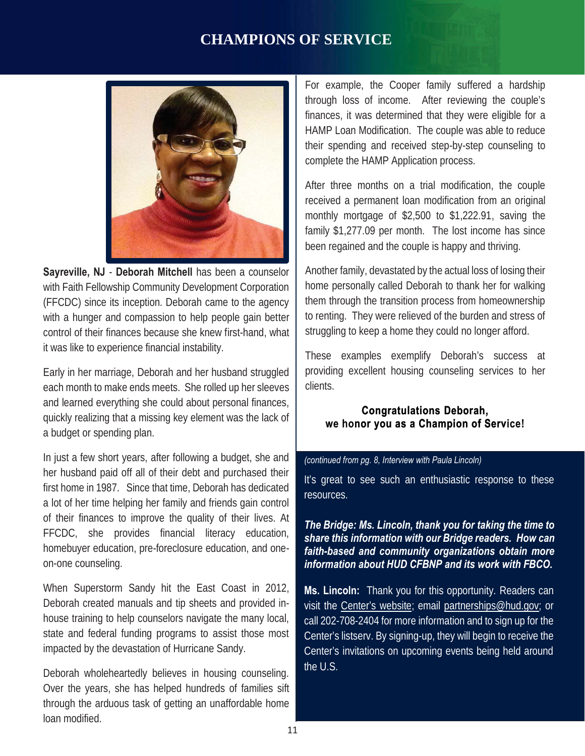

**Sayreville, NJ** - **Deborah Mitchell** has been a counselor with Faith Fellowship Community Development Corporation (FFCDC) since its inception. Deborah came to the agency with a hunger and compassion to help people gain better control of their finances because she knew first-hand, what it was like to experience financial instability.

Early in her marriage, Deborah and her husband struggled **providing excellent hous**  each month to make ends meets. She rolled up her sleeves and learned everything she could about personal finances, quickly realizing that a missing key element was the lack of a budget or spending plan.

In just a few short years, after following a budget, she and her husband paid off all of their debt and purchased their first home in 1987. Since that time, Deborah has dedicated a lot of her time helping her family and friends gain control of their finances to improve the quality of their lives. At FFCDC, she provides financial literacy education, homebuyer education, pre-foreclosure education, and oneon-one counseling.

impacted by the devastation of Hurricane Sandy. When Superstorm Sandy hit the East Coast in 2012, Deborah created manuals and tip sheets and provided inhouse training to help counselors navigate the many local, state and federal funding programs to assist those most

Deborah wholeheartedly believes in housing counseling. loan modified Over the years, she has helped hundreds of families sift. through the arduous task of getting an unaffordable home

 through loss of income. After reviewing the couple's HAMP Loan Modification. The couple was able to reduce complete the HAMP Application process. finances, it was determined that they were eligible for a their spending and received step-by-step counseling to

 family \$1,277.09 per month. The lost income has since After three months on a trial modification, the couple received a permanent loan modification from an original monthly mortgage of \$2,500 to \$1,222.91, saving the been regained and the couple is happy and thriving.

Another family, devastated by the actual loss of losing their home personally called Deborah to thank her for walking them through the transition process from homeownership to renting. They were relieved of the burden and stress of struggling to keep a home they could no longer afford.

 providing excellent housing counseling services to her These examples exemplify Deborah's success at clients.

**Congratulations Deborah,**  we honor you as a Champion of Service!

#### *(continued from pg. 8, Interview with Paula Lincoln)*

It's great to see such an enthusiastic response to these resources.

## *share this information with our Bridge readers. How can The Bridge: Ms. Lincoln, thank you for taking the time to faith-based and community organizations obtain more information about HUD CFBNP and its work with FBCO.*

**Ms. Lincoln:** Thank you for this opportunity. Readers can visit th[e Center's website](http://www.hud.gov/offices/fbci); emai[l partnerships@hud.gov](mailto:partnerships@hud.gov); or call 202-708-2404 for more information and to sign up for the Center's listserv. By signing-up, they will begin to receive the Center's invitations on upcoming events being held around the U.S.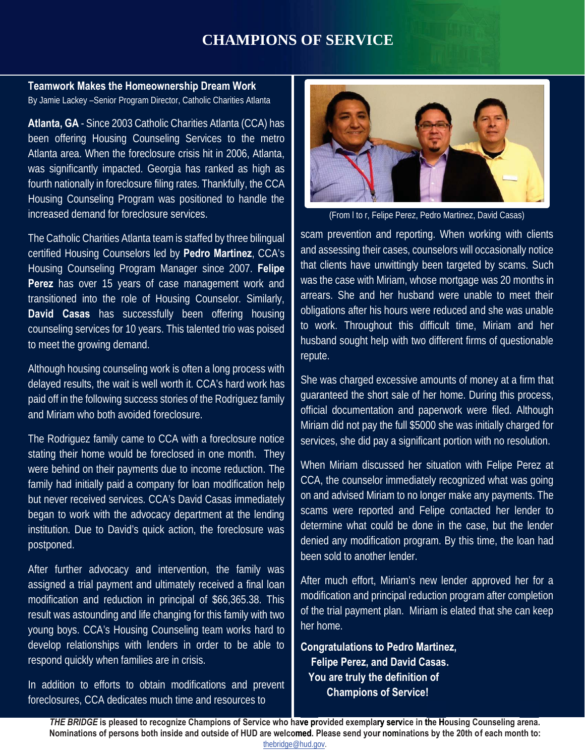#### **Teamwork Makes the Homeownership Dream Work**  By Jamie Lackey –Senior Program Director, Catholic Charities Atlanta

increased demand for foreclosure services. **Atlanta, GA** - Since 2003 Catholic Charities Atlanta (CCA) has been offering Housing Counseling Services to the metro Atlanta area. When the foreclosure crisis hit in 2006, Atlanta, was significantly impacted. Georgia has ranked as high as fourth nationally in foreclosure filing rates. Thankfully, the CCA Housing Counseling Program was positioned to handle the

The Catholic Charities Atlanta team is staffed by three bilingual certified Housing Counselors led by **Pedro Martinez**, CCA's Housing Counseling Program Manager since 2007. **Felipe Perez** has over 15 years of case management work and transitioned into the role of Housing Counselor. Similarly, **David Casas** has successfully been offering housing counseling services for 10 years. This talented trio was poised to meet the growing demand.

Although housing counseling work is often a long process with<br>delayed results, the wait is well worth it. CCA's hard work has and Miriam who both avoided foreclosure. Although housing counseling work is often a long process with paid off in the following success stories of the Rodriguez family

The Rodriguez family came to CCA with a foreclosure notice. stating their home would be foreclosed in one month. They were behind on their payments due to income reduction. The family had initially paid a company for loan modification help but never received services. CCA's David Casas immediately began to work with the advocacy department at the lending institution. Due to David's quick action, the foreclosure was postponed.

 develop relationships with lenders in order to be able to After further advocacy and intervention, the family was assigned a trial payment and ultimately received a final loan modification and reduction in principal of \$66,365.38. This result was astounding and life changing for this family with two young boys. CCA's Housing Counseling team works hard to respond quickly when families are in crisis.

In addition to efforts to obtain modifications and prevent foreclosures, CCA dedicates much time and resources to



(From l to r, Felipe Perez, Pedro Martinez, David Casas)

 and assessing their cases, counselors will occasionally notice scam prevention and reporting. When working with clients that clients have unwittingly been targeted by scams. Such was the case with Miriam, whose mortgage was 20 months in arrears. She and her husband were unable to meet their obligations after his hours were reduced and she was unable to work. Throughout this difficult time, Miriam and her husband sought help with two different firms of questionable repute.

ess with<br><sub>IOrk has some was charged excessive amounts of money at a firm that</sub> services, she did pay a significant portion with no resolution. guaranteed the short sale of her home. During this process, official documentation and paperwork were filed. Although Miriam did not pay the full \$5000 she was initially charged for

> When Miriam discussed her situation with Felipe Perez at CCA, the counselor immediately recognized what was going on and advised Miriam to no longer make any payments. The scams were reported and Felipe contacted her lender to determine what could be done in the case, but the lender denied any modification program. By this time, the loan had been sold to another lender.

> her home. After much effort, Miriam's new lender approved her for a modification and principal reduction program after completion of the trial payment plan. Miriam is elated that she can keep

 **Felipe Perez, and David Casas. Congratulations to Pedro Martinez, You are truly the definition of Champions of Service!**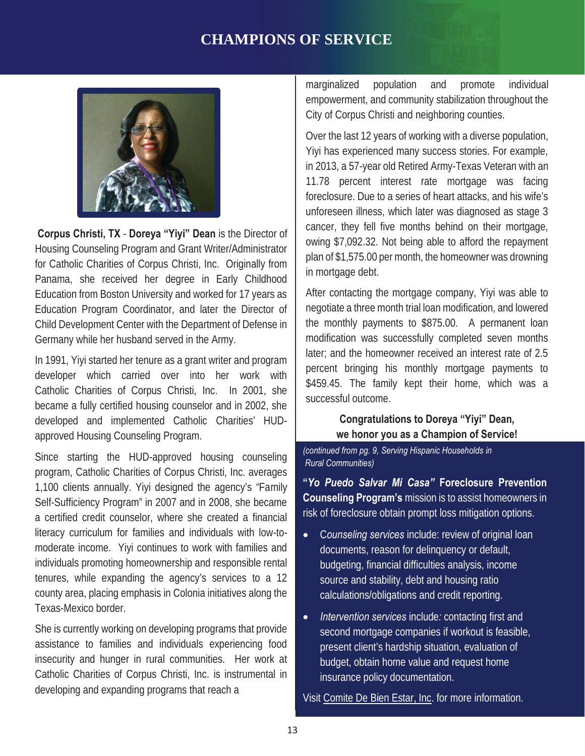

**Corpus Christi, TX** - **Doreya "Yiyi" Dean** is the Director of Housing Counseling Program and Grant Writer/Administrator for Catholic Charities of Corpus Christi, Inc. Originally from Panama, she received her degree in Early Childhood Education from Boston University and worked for 17 years as Education Program Coordinator, and later the Director of Child Development Center with the Department of Defense in Germany while her husband served in the Army.

developer which carried over into her work with | percent pringing his m In 1991, Yiyi started her tenure as a grant writer and program Catholic Charities of Corpus Christi, Inc. In 2001, she became a fully certified housing counselor and in 2002, she developed and implemented Catholic Charities' HUDapproved Housing Counseling Program.

 Since starting the HUD-approved housing counseling moderate income. Yiyi continues to work with families and tenures, while expanding the agency's services to a 12 Texas-Mexico border. program, Catholic Charities of Corpus Christi, Inc. averages 1,100 clients annually. Yiyi designed the agency's "Family Self-Sufficiency Program" in 2007 and in 2008, she became a certified credit counselor, where she created a financial literacy curriculum for families and individuals with low-toindividuals promoting homeownership and responsible rental county area, placing emphasis in Colonia initiatives along the

Texas-Mexico border.<br>She is currently working on developing programs that provide assistance to families and individuals experiencing food insecurity and hunger in rural communities. Her work at Catholic Charities of Corpus Christi, Inc. is instrumental in developing and expanding programs that reach a

City of Corpus Christi and neighboring counties. marginalized population and promote individual empowerment, and community stabilization throughout the

 unforeseen illness, which later was diagnosed as stage 3 Over the last 12 years of working with a diverse population, Yiyi has experienced many success stories. For example, in 2013, a 57-year old Retired Army-Texas Veteran with an 11.78 percent interest rate mortgage was facing foreclosure. Due to a series of heart attacks, and his wife's cancer, they fell five months behind on their mortgage, owing \$7,092.32. Not being able to afford the repayment plan of \$1,575.00 per month, the homeowner was drowning in mortgage debt.

After contacting the mortgage company, Yiyi was able to negotiate a three month trial loan modification, and lowered the monthly payments to \$875.00. A permanent loan modification was successfully completed seven months later; and the homeowner received an interest rate of 2.5 percent bringing his monthly mortgage payments to \$459.45. The family kept their home, which was a successful outcome.

> **Congratulations to Doreya "Yiyi" Dean, we honor you as a Champion of Service!**

 *(continued from pg. 9, Serving Hispanic Households in Rural Communities)* 

**"***Yo Puedo Salvar Mi Casa"* **Foreclosure Prevention Counseling Program's** mission is to assist homeowners in risk of foreclosure obtain prompt loss mitigation options.

- x C*ounseling services* include: review of original loan documents, reason for delinquency or default, budgeting, financial difficulties analysis, income source and stability, debt and housing ratio calculations/obligations and credit reporting.
- insurance policy documentation. x *Intervention services* include*:* contacting first and second mortgage companies if workout is feasible, present client's hardship situation, evaluation of budget, obtain home value and request home

Vis[it Comite De Bien Estar, Inc](http://www.comiteaz.com/). for more information.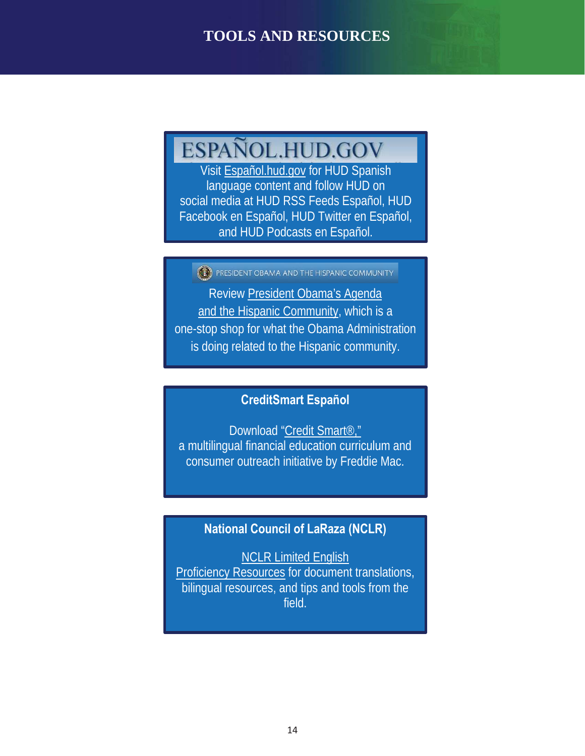## **TOOLS AND RESOURCES**

## ESPAÑOL.HUD.GOV

**ov** for HUD Spanish language content and follow HUD on social media at HUD RSS Feeds Español, HUD Facebook en Español, HUD Twitter en Español, and HUD Podcasts en Español.

PRESIDENT OBAMA AND THE HISPANIC COMMUNITY

Review [President Obama's Agenda](http://www.whitehouse.gov/hispanic)  [and the Hispanic Community,](http://www.whitehouse.gov/hispanic) which is a one-stop shop for what the Obama Administration is doing related to the Hispanic community.

## **CreditSmart Español**

**CHAMPIONS OF SERVICE**

Download "Credit Smart<sup>®</sup>," a multilingual financial education curriculum and consumer outreach initiative by Freddie Mac.

## **National Council of LaRaza (NCLR)**

[NCLR Limited English](http://www.hsgcenter.org/language-access/)  [Proficiency Resources f](http://www.hsgcenter.org/language-access/)or document translations, bilingual resources, and tips and tools from the field.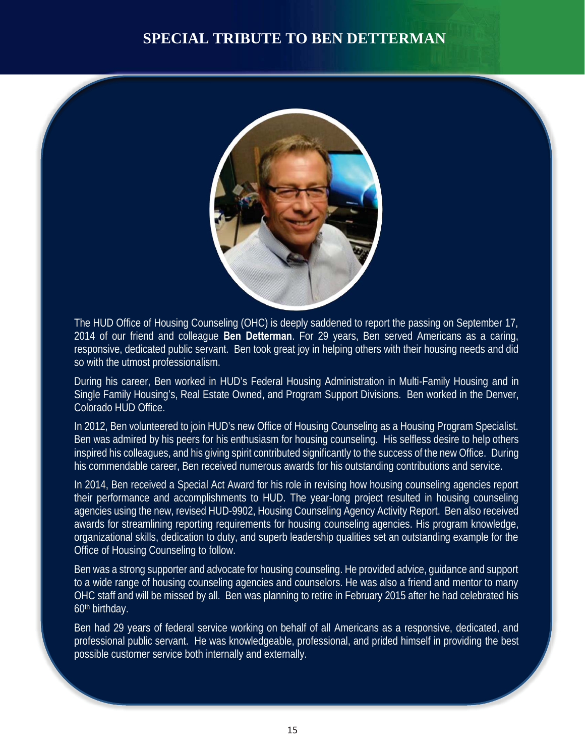## **SPECIAL TRIBUTE TO BEN DETTERMAN**



 responsive, dedicated public servant. Ben took great joy in helping others with their housing needs and did so with the utmost professionalism. The HUD Office of Housing Counseling (OHC) is deeply saddened to report the passing on September 17, 2014 of our friend and colleague **Ben Detterman**. For 29 years, Ben served Americans as a caring,

so with the utmost professionalism.<br>During his career, Ben worked in HUD's Federal Housing Administration in Multi-Family Housing and in Single Family Housing's, Real Estate Owned, and Program Support Divisions. Ben worked in the Denver, Colorado HUD Office.

 Ben was admired by his peers for his enthusiasm for housing counseling. His selfless desire to help others inspired his colleagues, and his giving spirit contributed significantly to the success of the new Office. During his commendable career, Ben received numerous awards for his outstanding contributions and service. In 2012, Ben volunteered to join HUD's new Office of Housing Counseling as a Housing Program Specialist.

Office of Housing Counseling to follow. In 2014, Ben received a Special Act Award for his role in revising how housing counseling agencies report their performance and accomplishments to HUD. The year-long project resulted in housing counseling agencies using the new, revised HUD-9902, Housing Counseling Agency Activity Report. Ben also received awards for streamlining reporting requirements for housing counseling agencies. His program knowledge, organizational skills, dedication to duty, and superb leadership qualities set an outstanding example for the

Office of Housing Counseling to follow.<br>Ben was a strong supporter and advocate for housing counseling. He provided advice, guidance and support OHC staff and will be missed by all. Ben was planning to retire in February 2015 after he had celebrated his to a wide range of housing counseling agencies and counselors. He was also a friend and mentor to many 60th birthday.

 possible customer service both internally and externally. Ben had 29 years of federal service working on behalf of all Americans as a responsive, dedicated, and professional public servant. He was knowledgeable, professional, and prided himself in providing the best